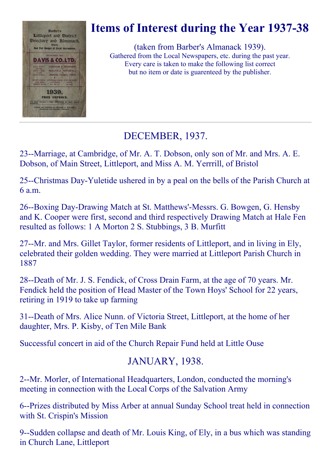

# Items of Interest during the Year 1937-38

(taken from Barber's Almanack 1939). Gathered from the Local Newspapers, etc. during the past year. Every care is taken to make the following list correct but no item or date is guarenteed by the publisher.

# DECEMBER, 1937.

23--Marriage, at Cambridge, of Mr. A. T. Dobson, only son of Mr. and Mrs. A. E. Dobson, of Main Street, Littleport, and Miss A. M. Yerrrill, of Bristol

25--Christmas Day-Yuletide ushered in by a peal on the bells of the Parish Church at 6 a.m.

26--Boxing Day-Drawing Match at St. Matthews'-Messrs. G. Bowgen, G. Hensby and K. Cooper were first, second and third respectively Drawing Match at Hale Fen resulted as follows: 1 A Morton 2 S. Stubbings, 3 B. Murfitt

27--Mr. and Mrs. Gillet Taylor, former residents of Littleport, and in living in Ely, celebrated their golden wedding. They were married at Littleport Parish Church in 1887

28--Death of Mr. J. S. Fendick, of Cross Drain Farm, at the age of 70 years. Mr. Fendick held the position of Head Master of the Town Hoys' School for 22 years, retiring in 1919 to take up farming

31--Death of Mrs. Alice Nunn. of Victoria Street, Littleport, at the home of her daughter, Mrs. P. Kisby, of Ten Mile Bank

Successful concert in aid of the Church Repair Fund held at Little Ouse

## JANUARY, 1938.

2--Mr. Morler, of International Headquarters, London, conducted the morning's meeting in connection with the Local Corps of the Salvation Army

6--Prizes distributed by Miss Arber at annual Sunday School treat held in connection with St. Crispin's Mission

9--Sudden collapse and death of Mr. Louis King, of Ely, in a bus which was standing in Church Lane, Littleport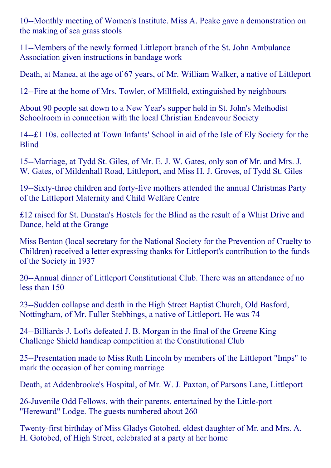10--Monthly meeting of Women's Institute. Miss A. Peake gave a demonstration on the making of sea grass stools

11--Members of the newly formed Littleport branch of the St. John Ambulance Association given instructions in bandage work

Death, at Manea, at the age of 67 years, of Mr. William Walker, a native of Littleport

12--Fire at the home of Mrs. Towler, of Millfield, extinguished by neighbours

About 90 people sat down to a New Year's supper held in St. John's Methodist Schoolroom in connection with the local Christian Endeavour Society

14--£1 10s. collected at Town Infants' School in aid of the Isle of Ely Society for the Blind

15--Marriage, at Tydd St. Giles, of Mr. E. J. W. Gates, only son of Mr. and Mrs. J. W. Gates, of Mildenhall Road, Littleport, and Miss H. J. Groves, of Tydd St. Giles

19--Sixty-three children and forty-five mothers attended the annual Christmas Party of the Littleport Maternity and Child Welfare Centre

£12 raised for St. Dunstan's Hostels for the Blind as the result of a Whist Drive and Dance, held at the Grange

Miss Benton (local secretary for the National Society for the Prevention of Cruelty to Children) received a letter expressing thanks for Littleport's contribution to the funds of the Society in 1937

20--Annual dinner of Littleport Constitutional Club. There was an attendance of no less than 150

23--Sudden collapse and death in the High Street Baptist Church, Old Basford, Nottingham, of Mr. Fuller Stebbings, a native of Littleport. He was 74

24--Billiards-J. Lofts defeated J. B. Morgan in the final of the Greene King Challenge Shield handicap competition at the Constitutional Club

25--Presentation made to Miss Ruth Lincoln by members of the Littleport "Imps" to mark the occasion of her coming marriage

Death, at Addenbrooke's Hospital, of Mr. W. J. Paxton, of Parsons Lane, Littleport

26-Juvenile Odd Fellows, with their parents, entertained by the Little-port "Hereward" Lodge. The guests numbered about 260

Twenty-first birthday of Miss Gladys Gotobed, eldest daughter of Mr. and Mrs. A. H. Gotobed, of High Street, celebrated at a party at her home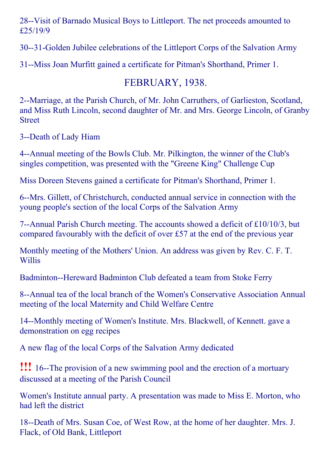28--Visit of Barnado Musical Boys to Littleport. The net proceeds amounted to £25/19/9

30--31-Golden Jubilee celebrations of the Littleport Corps of the Salvation Army

31--Miss Joan Murfitt gained a certificate for Pitman's Shorthand, Primer 1.

# FEBRUARY, 1938.

2--Marriage, at the Parish Church, of Mr. John Carruthers, of Garlieston, Scotland, and Miss Ruth Lincoln, second daughter of Mr. and Mrs. George Lincoln, of Granby Street

3--Death of Lady Hiam

4--Annual meeting of the Bowls Club. Mr. Pilkington, the winner of the Club's singles competition, was presented with the "Greene King" Challenge Cup

Miss Doreen Stevens gained a certificate for Pitman's Shorthand, Primer 1.

6--Mrs. Gillett, of Christchurch, conducted annual service in connection with the young people's section of the local Corps of the Salvation Army

7--Annual Parish Church meeting. The accounts showed a deficit of  $£10/10/3$ , but compared favourably with the deficit of over £57 at the end of the previous year

Monthly meeting of the Mothers' Union. An address was given by Rev. C. F. T. **Willis** 

Badminton--Hereward Badminton Club defeated a team from Stoke Ferry

8--Annual tea of the local branch of the Women's Conservative Association Annual meeting of the local Maternity and Child Welfare Centre

14--Monthly meeting of Women's Institute. Mrs. Blackwell, of Kennett. gave a demonstration on egg recipes

A new flag of the local Corps of the Salvation Army dedicated

**!!!** 16--The provision of a new swimming pool and the erection of a mortuary discussed at a meeting of the Parish Council

Women's Institute annual party. A presentation was made to Miss E. Morton, who had left the district

18--Death of Mrs. Susan Coe, of West Row, at the home of her daughter. Mrs. J. Flack, of Old Bank, Littleport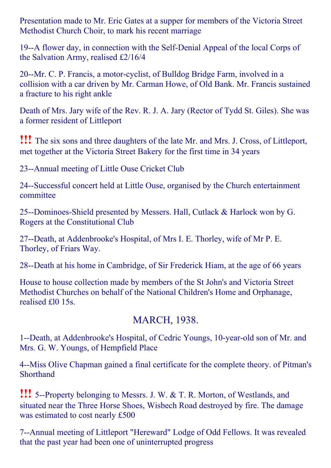Presentation made to Mr. Eric Gates at a supper for members of the Victoria Street Methodist Church Choir, to mark his recent marriage

19--A flower day, in connection with the Self-Denial Appeal of the local Corps of the Salvation Army, realised £2/16/4

20--Mr. C. P. Francis, a motor-cyclist, of Bulldog Bridge Farm, involved in a collision with a car driven by Mr. Carman Howe, of Old Bank. Mr. Francis sustained a fracture to his right ankle

Death of Mrs. Jary wife of the Rev. R. J. A. Jary (Rector of Tydd St. Giles). She was a former resident of Littleport

!!! The six sons and three daughters of the late Mr. and Mrs. J. Cross, of Littleport, met together at the Victoria Street Bakery for the first time in 34 years

23--Annual meeting of Little Ouse Cricket Club

24--Successful concert held at Little Ouse, organised by the Church entertainment committee

25--Dominoes-Shield presented by Messers. Hall, Cutlack & Harlock won by G. Rogers at the Constitutional Club

27--Death, at Addenbrooke's Hospital, of Mrs I. E. Thorley, wife of Mr P. E. Thorley, of Friars Way.

28--Death at his home in Cambridge, of Sir Frederick Hiam, at the age of 66 years

House to house collection made by members of the St John's and Victoria Street Methodist Churches on behalf of the National Children's Home and Orphanage, realised £l0 15s.

## MARCH, 1938.

1--Death, at Addenbrooke's Hospital, of Cedric Youngs, 10-year-old son of Mr. and Mrs. G. W. Youngs, of Hempfield Place

4--Miss Olive Chapman gained a final certificate for the complete theory. of Pitman's **Shorthand** 

**!!!** 5--Property belonging to Messrs. J. W. & T. R. Morton, of Westlands, and situated near the Three Horse Shoes, Wisbech Road destroyed by fire. The damage was estimated to cost nearly £500

7--Annual meeting of Littleport "Hereward" Lodge of Odd Fellows. It was revealed that the past year had been one of uninterrupted progress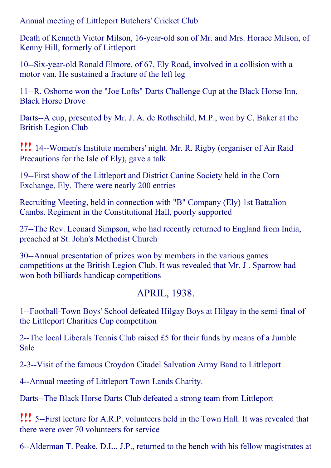Annual meeting of Littleport Butchers' Cricket Club

Death of Kenneth Victor Milson, 16-year-old son of Mr. and Mrs. Horace Milson, of Kenny Hill, formerly of Littleport

10--Six-year-old Ronald Elmore, of 67, Ely Road, involved in a collision with a motor van. He sustained a fracture of the left leg

11--R. Osborne won the "Joe Lofts" Darts Challenge Cup at the Black Horse Inn, Black Horse Drove

Darts--A cup, presented by Mr. J. A. de Rothschild, M.P., won by C. Baker at the British Legion Club

**!!!** 14--Women's Institute members' night. Mr. R. Rigby (organiser of Air Raid Precautions for the Isle of Ely), gave a talk

19--First show of the Littleport and District Canine Society held in the Corn Exchange, Ely. There were nearly 200 entries

Recruiting Meeting, held in connection with "B" Company (Ely) 1st Battalion Cambs. Regiment in the Constitutional Hall, poorly supported

27--The Rev. Leonard Simpson, who had recently returned to England from India, preached at St. John's Methodist Church

30--Annual presentation of prizes won by members in the various games competitions at the British Legion Club. It was revealed that Mr. J . Sparrow had won both billiards handicap competitions

#### APRIL, 1938.

1--Football-Town Boys' School defeated Hilgay Boys at Hilgay in the semi-final of the Littleport Charities Cup competition

2--The local Liberals Tennis Club raised  $£5$  for their funds by means of a Jumble Sale

2-3--Visit of the famous Croydon Citadel Salvation Army Band to Littleport

4--Annual meeting of Littleport Town Lands Charity.

Darts--The Black Horse Darts Club defeated a strong team from Littleport

**!!!** 5--First lecture for A.R.P. volunteers held in the Town Hall. It was revealed that there were over 70 volunteers for service

6--Alderman T. Peake, D.L., J.P., returned to the bench with his fellow magistrates at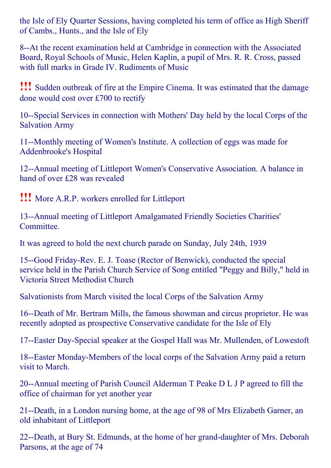the Isle of Ely Quarter Sessions, having completed his term of office as High Sheriff of Cambs., Hunts., and the Isle of Ely

8--At the recent examination held at Cambridge in connection with the Associated Board, Royal Schools of Music, Helen Kaplin, a pupil of Mrs. R. R. Cross, passed with full marks in Grade IV. Rudiments of Music

!!! Sudden outbreak of fire at the Empire Cinema. It was estimated that the damage done would cost over £700 to rectify

10--Special Services in connection with Mothers' Day held by the local Corps of the Salvation Army

11--Monthly meeting of Women's Institute. A collection of eggs was made for Addenbrooke's Hospital

12--Annual meeting of Littleport Women's Conservative Association. A balance in hand of over £28 was revealed

!!! More A.R.P. workers enrolled for Littleport

13--Annual meeting of Littleport Amalgamated Friendly Societies Charities' Committee.

It was agreed to hold the next church parade on Sunday, July 24th, 1939

15--Good Friday-Rev. E. J. Toase (Rector of Benwick), conducted the special service held in the Parish Church Service of Song entitled "Peggy and Billy," held in Victoria Street Methodist Church

Salvationists from March visited the local Corps of the Salvation Army

16--Death of Mr. Bertram Mills, the famous showman and circus proprietor. He was recently adopted as prospective Conservative candidate for the Isle of Ely

17--Easter Day-Special speaker at the Gospel Hall was Mr. Mullenden, of Lowestoft

18--Easter Monday-Members of the local corps of the Salvation Army paid a return visit to March.

20--Annual meeting of Parish Council Alderman T Peake D L J P agreed to fill the office of chairman for yet another year

21--Death, in a London nursing home, at the age of 98 of Mrs Elizabeth Garner, an old inhabitant of Littleport

22--Death, at Bury St. Edmunds, at the home of her grand-daughter of Mrs. Deborah Parsons, at the age of 74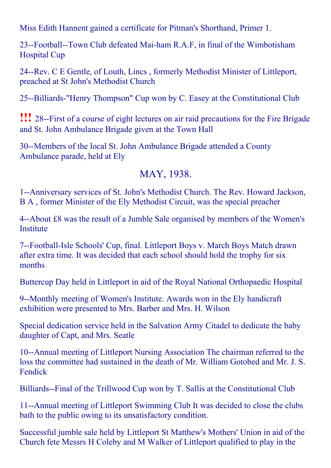Miss Edith Hannent gained a certificate for Pitman's Shorthand, Primer 1.

23-Football-Town Club defeated Mai-ham R.A.F, in final of the Wimbotisham Hospital Cup

24--Rev. C E Gentle, of Louth, Lincs, formerly Methodist Minister of Littleport, preached at St John's Methodist Church

25--Billiards-"Henry Thompson" Cup won by C. Easey at the Constitutional Club

**!!!** 28-First of a course of eight lectures on air raid precautions for the Fire Brigade and St. John Ambulance Brigade given at the Town Hall

30--Members of the local St. John Ambulance Brigade attended a County Ambulance parade, held at Ely

#### MAY, 1938.

1--Anniversary services of St. John's Methodist Church. The Rev. Howard Jackson, B A , former Minister of the Ely Methodist Circuit, was the special preacher

4--About £8 was the result of a Jumble Sale organised by members of the Women's Institute

7--Football-Isle Schools' Cup, final. Littleport Boys v. March Boys Match drawn after extra time. It was decided that each school should hold the trophy for six months

Buttercup Day held in Littleport in aid of the Royal National Orthopaedic Hospital

9--Monthly meeting of Women's Institute. Awards won in the Ely handicraft exhibition were presented to Mrs. Barber and Mrs. H. Wilson

Special dedication service held in the Salvation Army Citadel to dedicate the baby daughter of Capt, and Mrs. Seatle

10--Annual meeting of Littleport Nursing Association The chairman referred to the loss the committee had sustained in the death of Mr. William Gotobed and Mr. J. S. Fendick

Billiards--Final of the Trillwood Cup won by T. Sallis at the Constitutional Club

11--Annual meeting of Littleport Swimming Club It was decided to close the clubs bath to the public owing to its unsatisfactory condition.

Successful jumble sale held by Littleport St Matthew's Mothers' Union in aid of the Church fete Messrs H Coleby and M Walker of Littleport qualified to play in the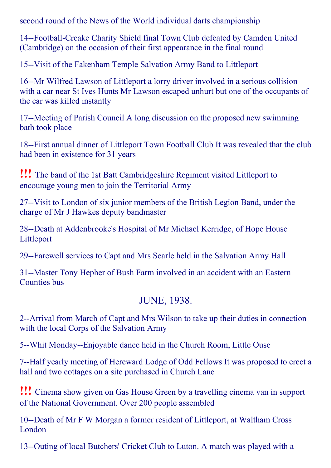second round of the News of the World individual darts championship

14--Football-Creake Charity Shield final Town Club defeated by Camden United (Cambridge) on the occasion of their first appearance in the final round

15--Visit of the Fakenham Temple Salvation Army Band to Littleport

16--Mr Wilfred Lawson of Littleport a lorry driver involved in a serious collision with a car near St Ives Hunts Mr Lawson escaped unhurt but one of the occupants of the car was killed instantly

17--Meeting of Parish Council A long discussion on the proposed new swimming bath took place

18--First annual dinner of Littleport Town Football Club It was revealed that the club had been in existence for 31 years

!!! The band of the 1st Batt Cambridgeshire Regiment visited Littleport to encourage young men to join the Territorial Army

27--Visit to London of six junior members of the British Legion Band, under the charge of Mr J Hawkes deputy bandmaster

28--Death at Addenbrooke's Hospital of Mr Michael Kerridge, of Hope House Littleport

29--Farewell services to Capt and Mrs Searle held in the Salvation Army Hall

31--Master Tony Hepher of Bush Farm involved in an accident with an Eastern Counties bus

#### JUNE, 1938.

2--Arrival from March of Capt and Mrs Wilson to take up their duties in connection with the local Corps of the Salvation Army

5--Whit Monday--Enjoyable dance held in the Church Room, Little Ouse

7--Half yearly meeting of Hereward Lodge of Odd Fellows It was proposed to erect a hall and two cottages on a site purchased in Church Lane

!!! Cinema show given on Gas House Green by <sup>a</sup> travelling cinema van in support of the National Government. Over 200 people assembled

10--Death of Mr F W Morgan a former resident of Littleport, at Waltham Cross London

13--Outing of local Butchers' Cricket Club to Luton. A match was played with a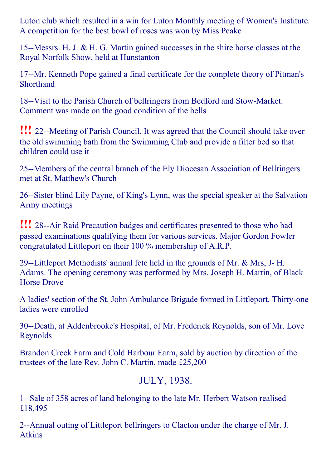Luton club which resulted in a win for Luton Monthly meeting of Women's Institute. A competition for the best bowl of roses was won by Miss Peake

15--Messrs. H. J. & H. G. Martin gained successes in the shire horse classes at the Royal Norfolk Show, held at Hunstanton

17--Mr. Kenneth Pope gained a final certificate for the complete theory of Pitman's Shorthand

18--Visit to the Parish Church of bellringers from Bedford and Stow-Market. Comment was made on the good condition of the bells

**!!!** 22--Meeting of Parish Council. It was agreed that the Council should take over the old swimming bath from the Swimming Club and provide a filter bed so that children could use it

25--Members of the central branch of the Ely Diocesan Association of Bellringers met at St. Matthew's Church

26-Sister blind Lily Payne, of King's Lynn, was the special speaker at the Salvation Army meetings

**!!!** 28--Air Raid Precaution badges and certificates presented to those who had passed examinations qualifying them for various services. Major Gordon Fowler congratulated Littleport on their 100 % membership of A.R.P.

29--Littleport Methodists' annual fete held in the grounds of Mr. & Mrs, J-H. Adams. The opening ceremony was performed by Mrs. Joseph H. Martin, of Black Horse Drove

A ladies' section of the St. John Ambulance Brigade formed in Littleport. Thirty-one ladies were enrolled

30--Death, at Addenbrooke's Hospital, of Mr. Frederick Reynolds, son of Mr. Love Reynolds

Brandon Creek Farm and Cold Harbour Farm, sold by auction by direction of the trustees of the late Rev. John C. Martin, made £25,200

#### JULY, 1938.

1--Sale of 358 acres of land belonging to the late Mr. Herbert Watson realised £18,495

2--Annual outing of Littleport bellringers to Clacton under the charge of Mr. J. Atkins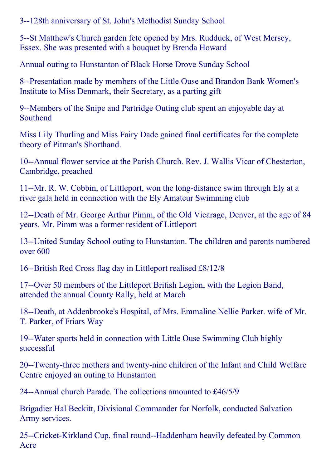3--128th anniversary of St. John's Methodist Sunday School

5--St Matthew's Church garden fete opened by Mrs. Rudduck, of West Mersey, Essex. She was presented with a bouquet by Brenda Howard

Annual outing to Hunstanton of Black Horse Drove Sunday School

8--Presentation made by members of the Little Ouse and Brandon Bank Women's Institute to Miss Denmark, their Secretary, as a parting gift

9--Members of the Snipe and Partridge Outing club spent an enjoyable day at Southend

Miss Lily Thurling and Miss Fairy Dade gained final certificates for the complete theory of Pitman's Shorthand.

10--Annual flower service at the Parish Church. Rev. J. Wallis Vicar of Chesterton, Cambridge, preached

11--Mr. R. W. Cobbin, of Littleport, won the long-distance swim through Ely at a river gala held in connection with the Ely Amateur Swimming club

12--Death of Mr. George Arthur Pimm, of the Old Vicarage, Denver, at the age of 84 years. Mr. Pimm was a former resident of Littleport

13--United Sunday School outing to Hunstanton. The children and parents numbered over 600

16--British Red Cross flag day in Littleport realised £8/12/8

17--Over 50 members of the Littleport British Legion, with the Legion Band, attended the annual County Rally, held at March

18--Death, at Addenbrooke's Hospital, of Mrs. Emmaline Nellie Parker. wife of Mr. T. Parker, of Friars Way

19--Water sports held in connection with Little Ouse Swimming Club highly successful

20--Twenty-three mothers and twenty-nine children of the Infant and Child Welfare Centre enjoyed an outing to Hunstanton

24--Annual church Parade. The collections amounted to  $\text{\pounds}46/5/9$ 

Brigadier Hal Beckitt, Divisional Commander for Norfolk, conducted Salvation Army services.

25--Cricket-Kirkland Cup, final round--Haddenham heavily defeated by Common Acre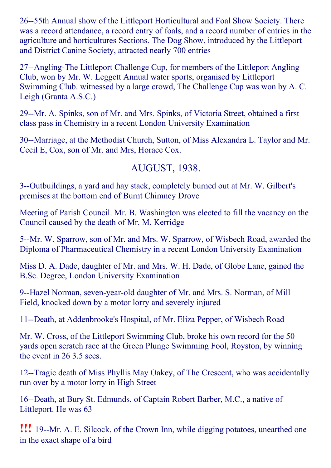26--55th Annual show of the Littleport Horticultural and Foal Show Society. There was a record attendance, a record entry of foals, and a record number of entries in the agriculture and horticultures Sections. The Dog Show, introduced by the Littleport and District Canine Society, attracted nearly 700 entries

27--Angling-The Littleport Challenge Cup, for members of the Littleport Angling Club, won by Mr. W. Leggett Annual water sports, organised by Littleport Swimming Club. witnessed by a large crowd, The Challenge Cup was won by A. C. Leigh (Granta A.S.C.)

29--Mr. A. Spinks, son of Mr. and Mrs. Spinks, of Victoria Street, obtained a first class pass in Chemistry in a recent London University Examination

30--Marriage, at the Methodist Church, Sutton, of Miss Alexandra L. Taylor and Mr. Cecil E, Cox, son of Mr. and Mrs, Horace Cox.

### AUGUST, 1938.

3--Outbuildings, a yard and hay stack, completely burned out at Mr. W. Gilbert's premises at the bottom end of Burnt Chimney Drove

Meeting of Parish Council. Mr. B. Washington was elected to fill the vacancy on the Council caused by the death of Mr. M. Kerridge

5--Mr. W. Sparrow, son of Mr. and Mrs. W. Sparrow, of Wisbech Road, awarded the Diploma of Pharmaceutical Chemistry in a recent London University Examination

Miss D. A. Dade, daughter of Mr. and Mrs. W. H. Dade, of Globe Lane, gained the B.Sc. Degree, London University Examination

9--Hazel Norman, seven-year-old daughter of Mr. and Mrs. S. Norman, of Mill Field, knocked down by a motor lorry and severely injured

11--Death, at Addenbrooke's Hospital, of Mr. Eliza Pepper, of Wisbech Road

Mr. W. Cross, of the Littleport Swimming Club, broke his own record for the 50 yards open scratch race at the Green Plunge Swimming Fool, Royston, by winning the event in 26 3.5 secs.

12--Tragic death of Miss Phyllis May Oakey, of The Crescent, who was accidentally run over by a motor lorry in High Street

16--Death, at Bury St. Edmunds, of Captain Robert Barber, M.C., a native of Littleport. He was 63

**!!!** 19--Mr. A. E. Silcock, of the Crown Inn, while digging potatoes, unearthed one in the exact shape of a bird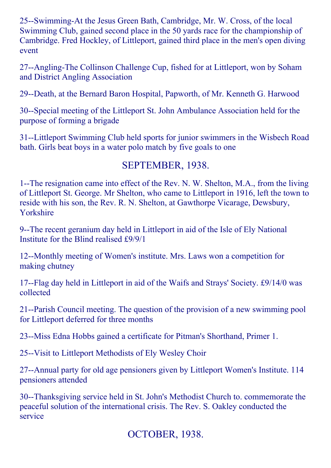25--Swimming-At the Jesus Green Bath, Cambridge, Mr. W. Cross, of the local Swimming Club, gained second place in the 50 yards race for the championship of Cambridge. Fred Hockley, of Littleport, gained third place in the men's open diving event

27--Angling-The Collinson Challenge Cup, fished for at Littleport, won by Soham and District Angling Association

29--Death, at the Bernard Baron Hospital, Papworth, of Mr. Kenneth G. Harwood

30--Special meeting of the Littleport St. John Ambulance Association held for the purpose of forming a brigade

31--Littleport Swimming Club held sports for junior swimmers in the Wisbech Road bath. Girls beat boys in a water polo match by five goals to one

#### SEPTEMBER, 1938.

1--The resignation came into effect of the Rev. N. W. Shelton, M.A., from the living of Littleport St. George. Mr Shelton, who came to Littleport in 1916, left the town to reside with his son, the Rev. R. N. Shelton, at Gawthorpe Vicarage, Dewsbury, Yorkshire

9--The recent geranium day held in Littleport in aid of the Isle of Ely National Institute for the Blind realised £9/9/1

12--Monthly meeting of Women's institute. Mrs. Laws won a competition for making chutney

17--Flag day held in Littleport in aid of the Waifs and Strays' Society. £9/14/0 was collected

21--Parish Council meeting. The question of the provision of a new swimming pool for Littleport deferred for three months

23--Miss Edna Hobbs gained a certificate for Pitman's Shorthand, Primer 1.

25--Visit to Littleport Methodists of Ely Wesley Choir

27--Annual party for old age pensioners given by Littleport Women's Institute. 114 pensioners attended

30--Thanksgiving service held in St. John's Methodist Church to. commemorate the peaceful solution of the international crisis. The Rev. S. Oakley conducted the service

OCTOBER, 1938.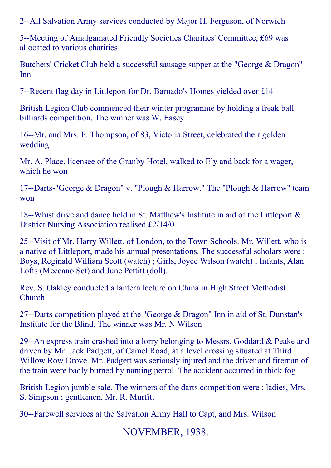2--All Salvation Army services conducted by Major H. Ferguson, of Norwich

5--Meeting of Amalgamated Friendly Societies Charities' Committee, £69 was allocated to various charities

Butchers' Cricket Club held a successful sausage supper at the "George & Dragon" Inn

7--Recent flag day in Littleport for Dr. Barnado's Homes yielded over £14

British Legion Club commenced their winter programme by holding a freak ball billiards competition. The winner was W. Easey

16--Mr. and Mrs. F. Thompson, of 83, Victoria Street, celebrated their golden wedding

Mr. A. Place, licensee of the Granby Hotel, walked to Ely and back for a wager, which he won

17--Darts-"George & Dragon" v. "Plough & Harrow." The "Plough & Harrow" team won

18--Whist drive and dance held in St. Matthew's Institute in aid of the Littleport  $\&$ District Nursing Association realised £2/14/0

25--Visit of Mr. Harry Willett, of London, to the Town Schools. Mr. Willett, who is a native of Littleport, made his annual presentations. The successful scholars were : Boys, Reginald William Scott (watch) ; Girls, Joyce Wilson (watch) ; Infants, Alan Lofts (Meccano Set) and June Pettitt (doll).

Rev. S. Oakley conducted a lantern lecture on China in High Street Methodist Church

27--Darts competition played at the "George  $&$  Dragon" Inn in aid of St. Dunstan's Institute for the Blind. The winner was Mr. N Wilson

29--An express train crashed into a lorry belonging to Messrs. Goddard  $&$  Peake and driven by Mr. Jack Padgett, of Camel Road, at a level crossing situated at Third Willow Row Drove. Mr. Padgett was seriously injured and the driver and fireman of the train were badly burned by naming petrol. The accident occurred in thick fog

British Legion jumble sale. The winners of the darts competition were : ladies, Mrs. S. Simpson ; gentlemen, Mr. R. Murfitt

30--Farewell services at the Salvation Army Hall to Capt, and Mrs. Wilson

NOVEMBER, 1938.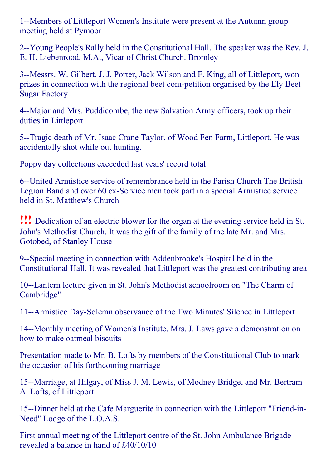1--Members of Littleport Women's Institute were present at the Autumn group meeting held at Pymoor

2--Young People's Rally held in the Constitutional Hall. The speaker was the Rev. J. E. H. Liebenrood, M.A., Vicar of Christ Church. Bromley

3--Messrs. W. Gilbert, J. J. Porter, Jack Wilson and F. King, all of Littleport, won prizes in connection with the regional beet com-petition organised by the Ely Beet Sugar Factory

4--Major and Mrs. Puddicombe, the new Salvation Army officers, took up their duties in Littleport

5--Tragic death of Mr. Isaac Crane Taylor, of Wood Fen Farm, Littleport. He was accidentally shot while out hunting.

Poppy day collections exceeded last years' record total

6--United Armistice service of remembrance held in the Parish Church The British Legion Band and over 60 ex-Service men took part in a special Armistice service held in St. Matthew's Church

!!! Dedication of an electric blower for the organ at the evening service held in St. John's Methodist Church. It was the gift of the family of the late Mr. and Mrs. Gotobed, of Stanley House

9--Special meeting in connection with Addenbrooke's Hospital held in the Constitutional Hall. It was revealed that Littleport was the greatest contributing area

10--Lantern lecture given in St. John's Methodist schoolroom on "The Charm of Cambridge"

11--Armistice Day-Solemn observance of the Two Minutes' Silence in Littleport

14--Monthly meeting of Women's Institute. Mrs. J. Laws gave a demonstration on how to make oatmeal biscuits

Presentation made to Mr. B. Lofts by members of the Constitutional Club to mark the occasion of his forthcoming marriage

15--Marriage, at Hilgay, of Miss J. M. Lewis, of Modney Bridge, and Mr. Bertram A. Lofts, of Littleport

15--Dinner held at the Cafe Marguerite in connection with the Littleport "Friend-in-Need" Lodge of the L.O.A.S.

First annual meeting of the Littleport centre of the St. John Ambulance Brigade revealed a balance in hand of £40/10/10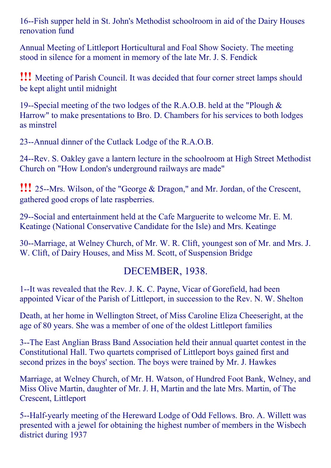16-Fish supper held in St. John's Methodist schoolroom in aid of the Dairy Houses renovation fund

Annual Meeting of Littleport Horticultural and Foal Show Society. The meeting stood in silence for a moment in memory of the late Mr. J. S. Fendick

!!! Meeting of Parish Council. It was decided that four corner street lamps should be kept alight until midnight

19--Special meeting of the two lodges of the R.A.O.B. held at the "Plough  $\&$ Harrow" to make presentations to Bro. D. Chambers for his services to both lodges as minstrel

23--Annual dinner of the Cutlack Lodge of the R.A.O.B.

24--Rev. S. Oakley gave a lantern lecture in the schoolroom at High Street Methodist Church on "How London's underground railways are made"

**!!!** 25--Mrs. Wilson, of the "George & Dragon," and Mr. Jordan, of the Crescent, gathered good crops of late raspberries.

29--Social and entertainment held at the Cafe Marguerite to welcome Mr. E. M. Keatinge (National Conservative Candidate for the Isle) and Mrs. Keatinge

30--Marriage, at Welney Church, of Mr. W. R. Clift, youngest son of Mr. and Mrs. J. W. Clift, of Dairy Houses, and Miss M. Scott, of Suspension Bridge

#### DECEMBER, 1938.

1--It was revealed that the Rev. J. K. C. Payne, Vicar of Gorefield, had been appointed Vicar of the Parish of Littleport, in succession to the Rev. N. W. Shelton

Death, at her home in Wellington Street, of Miss Caroline Eliza Cheeseright, at the age of 80 years. She was a member of one of the oldest Littleport families

3--The East Anglian Brass Band Association held their annual quartet contest in the Constitutional Hall. Two quartets comprised of Littleport boys gained first and second prizes in the boys' section. The boys were trained by Mr. J. Hawkes

Marriage, at Welney Church, of Mr. H. Watson, of Hundred Foot Bank, Welney, and Miss Olive Martin, daughter of Mr. J. H, Martin and the late Mrs. Martin, of The Crescent, Littleport

5--Half-yearly meeting of the Hereward Lodge of Odd Fellows. Bro. A. Willett was presented with a jewel for obtaining the highest number of members in the Wisbech district during 1937